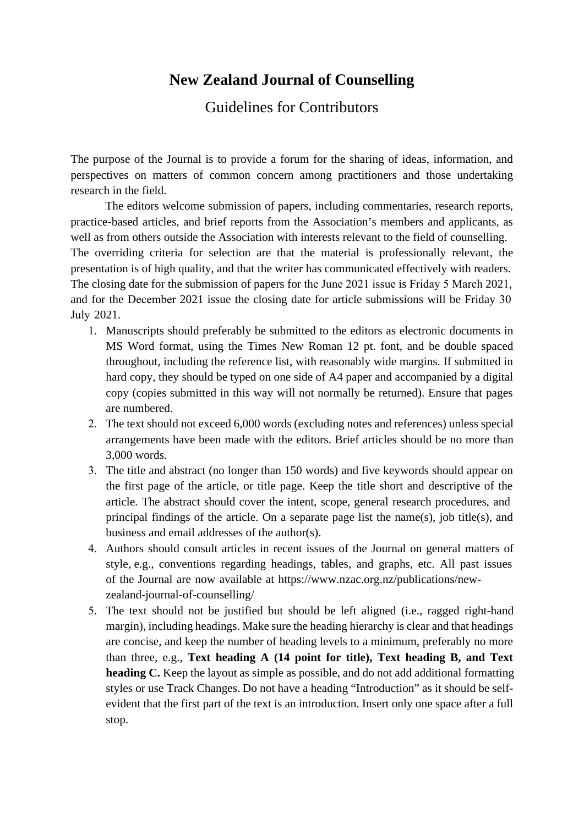## **New Zealand Journal of Counselling**

## Guidelines for Contributors

The purpose of the Journal is to provide a forum for the sharing of ideas, information, and perspectives on matters of common concern among practitioners and those undertaking research in the field.

The editors welcome submission of papers, including commentaries, research reports, practice-based articles, and brief reports from the Association's members and applicants, as well as from others outside the Association with interests relevant to the field of counselling. The overriding criteria for selection are that the material is professionally relevant, the presentation is of high quality, and that the writer has communicated effectively with readers. The closing date for the submission of papers for the June 2021 issue is Friday 5 March 2021, and for the December 2021 issue the closing date for article submissions will be Friday 30 July 2021.

- 1. Manuscripts should preferably be submitted to the editors as electronic documents in MS Word format, using the Times New Roman 12 pt. font, and be double spaced throughout, including the reference list, with reasonably wide margins. If submitted in hard copy, they should be typed on one side of A4 paper and accompanied by a digital copy (copies submitted in this way will not normally be returned). Ensure that pages are numbered.
- 2. The text should not exceed 6,000 words (excluding notes and references) unless special arrangements have been made with the editors. Brief articles should be no more than 3,000 words.
- 3. The title and abstract (no longer than 150 words) and five keywords should appear on the first page of the article, or title page. Keep the title short and descriptive of the article. The abstract should cover the intent, scope, general research procedures, and principal findings of the article. On a separate page list the name(s), job title(s), and business and email addresses of the author(s).
- 4. Authors should consult articles in recent issues of the Journal on general matters of style, e.g., conventions regarding headings, tables, and graphs, etc. All past issues of the Journal are now available at https://www.nzac.org.nz/publications/newzealand-journal-of-counselling/
- 5. The text should not be justified but should be left aligned (i.e., ragged right-hand margin), including headings. Make sure the heading hierarchy is clear and that headings are concise, and keep the number of heading levels to a minimum, preferably no more than three, e.g., **Text heading A (14 point for title), Text heading B, and Text heading C.** Keep the layout as simple as possible, and do not add additional formatting styles or use Track Changes. Do not have a heading "Introduction" as it should be selfevident that the first part of the text is an introduction. Insert only one space after a full stop.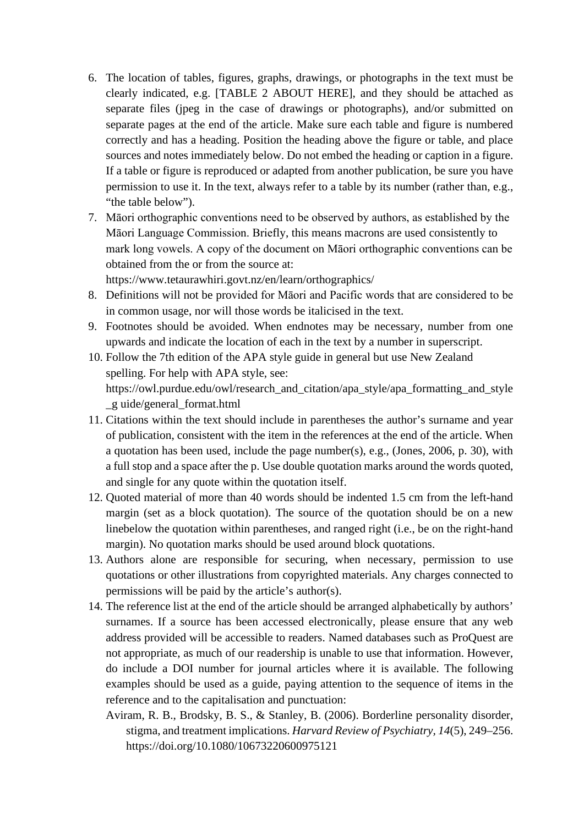- 6. The location of tables, figures, graphs, drawings, or photographs in the text must be clearly indicated, e.g. [TABLE 2 ABOUT HERE], and they should be attached as separate files (jpeg in the case of drawings or photographs), and/or submitted on separate pages at the end of the article. Make sure each table and figure is numbered correctly and has a heading. Position the heading above the figure or table, and place sources and notes immediately below. Do not embed the heading or caption in a figure. If a table or figure is reproduced or adapted from another publication, be sure you have permission to use it. In the text, always refer to a table by its number (rather than, e.g., "the table below").
- 7. Māori orthographic conventions need to be observed by authors, as established by the Māori Language Commission. Briefly, this means macrons are used consistently to mark long vowels. A copy of the document on Māori orthographic conventions can be obtained from the or from the source at: https://www.tetaurawhiri.govt.nz/en/learn/orthographics/
- 8. Definitions will not be provided for Māori and Pacific words that are considered to be in common usage, nor will those words be italicised in the text.
- 9. Footnotes should be avoided. When endnotes may be necessary, number from one upwards and indicate the location of each in the text by a number in superscript.
- 10. Follow the 7th edition of the APA style guide in general but use New Zealand spelling. For help with APA style, see: https://owl.purdue.edu/owl/research\_and\_citation/apa\_style/apa\_formatting\_and\_style \_g uide/general\_format.html
- 11. Citations within the text should include in parentheses the author's surname and year of publication, consistent with the item in the references at the end of the article. When a quotation has been used, include the page number(s), e.g., (Jones, 2006, p. 30), with a full stop and a space after the p. Use double quotation marks around the words quoted, and single for any quote within the quotation itself.
- 12. Quoted material of more than 40 words should be indented 1.5 cm from the left-hand margin (set as a block quotation). The source of the quotation should be on a new linebelow the quotation within parentheses, and ranged right (i.e., be on the right-hand margin). No quotation marks should be used around block quotations.
- 13. Authors alone are responsible for securing, when necessary, permission to use quotations or other illustrations from copyrighted materials. Any charges connected to permissions will be paid by the article's author(s).
- 14. The reference list at the end of the article should be arranged alphabetically by authors' surnames. If a source has been accessed electronically, please ensure that any web address provided will be accessible to readers. Named databases such as ProQuest are not appropriate, as much of our readership is unable to use that information. However, do include a DOI number for journal articles where it is available. The following examples should be used as a guide, paying attention to the sequence of items in the reference and to the capitalisation and punctuation:
	- Aviram, R. B., Brodsky, B. S., & Stanley, B. (2006). Borderline personality disorder, stigma, and treatment implications. *Harvard Review of Psychiatry, 14*(5), 249–256. https://doi.org/10.1080/10673220600975121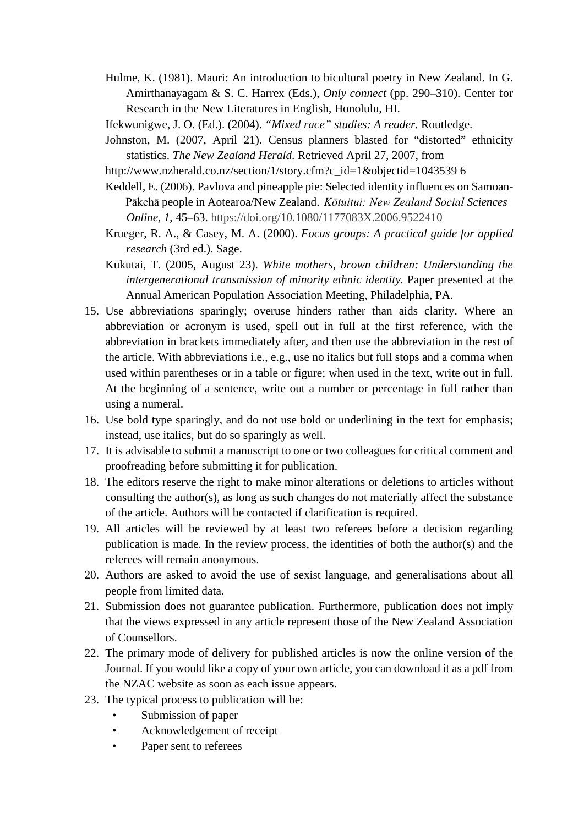- Hulme, K. (1981). Mauri: An introduction to bicultural poetry in New Zealand. In G. Amirthanayagam & S. C. Harrex (Eds.), *Only connect* (pp. 290–310). Center for Research in the New Literatures in English, Honolulu, HI.
- Ifekwunigwe, J. O. (Ed.). (2004). *"Mixed race" studies: A reader.* Routledge.
- Johnston, M. (2007, April 21). Census planners blasted for "distorted" ethnicity statistics. *The New Zealand Herald*. Retrieved April 27, 2007, from
- http://www.nzherald.co.nz/section/1/story.cfm?c\_id=1&objectid=1043539 6
- Keddell, E. (2006). Pavlova and pineapple pie: Selected identity influences on Samoan- Pākehā people in Aotearoa/New Zealand. *Kōtuitui: New Zealand Social Sciences Online, 1*, 45–63. https://d[oi.org/10.1080/1177083X.2006.9522410](https://doi.org/10.1080/1177083X.2006.9522410)
- Krueger, R. A., & Casey, M. A. (2000). *Focus groups: A practical guide for applied research* (3rd ed.). Sage.
- Kukutai, T. (2005, August 23). *White mothers, brown children: Understanding the intergenerational transmission of minority ethnic identity.* Paper presented at the Annual American Population Association Meeting, Philadelphia, PA.
- 15. Use abbreviations sparingly; overuse hinders rather than aids clarity. Where an abbreviation or acronym is used, spell out in full at the first reference, with the abbreviation in brackets immediately after, and then use the abbreviation in the rest of the article. With abbreviations i.e., e.g., use no italics but full stops and a comma when used within parentheses or in a table or figure; when used in the text, write out in full. At the beginning of a sentence, write out a number or percentage in full rather than using a numeral.
- 16. Use bold type sparingly, and do not use bold or underlining in the text for emphasis; instead, use italics, but do so sparingly as well.
- 17. It is advisable to submit a manuscript to one or two colleagues for critical comment and proofreading before submitting it for publication.
- 18. The editors reserve the right to make minor alterations or deletions to articles without consulting the author(s), as long as such changes do not materially affect the substance of the article. Authors will be contacted if clarification is required.
- 19. All articles will be reviewed by at least two referees before a decision regarding publication is made. In the review process, the identities of both the author(s) and the referees will remain anonymous.
- 20. Authors are asked to avoid the use of sexist language, and generalisations about all people from limited data.
- 21. Submission does not guarantee publication. Furthermore, publication does not imply that the views expressed in any article represent those of the New Zealand Association of Counsellors.
- 22. The primary mode of delivery for published articles is now the online version of the Journal. If you would like a copy of your own article, you can download it as a pdf from the NZAC website as soon as each issue appears.
- 23. The typical process to publication will be:
	- Submission of paper
	- Acknowledgement of receipt
	- Paper sent to referees